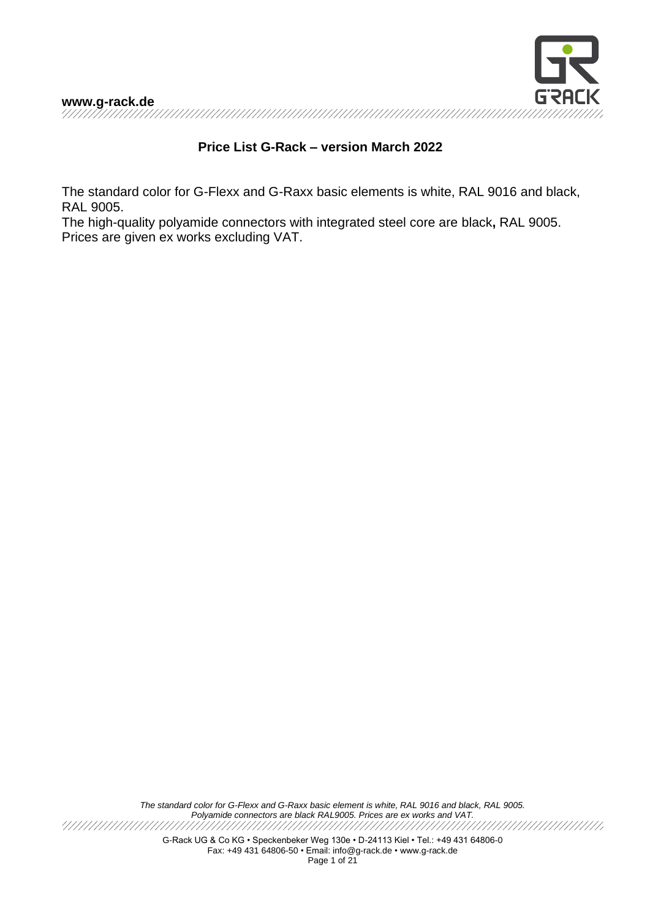

### **Price List G-Rack – version March 2022**

The standard color for G-Flexx and G-Raxx basic elements is white, RAL 9016 and black, RAL 9005.

The high-quality polyamide connectors with integrated steel core are black**,** RAL 9005. Prices are given ex works excluding VAT.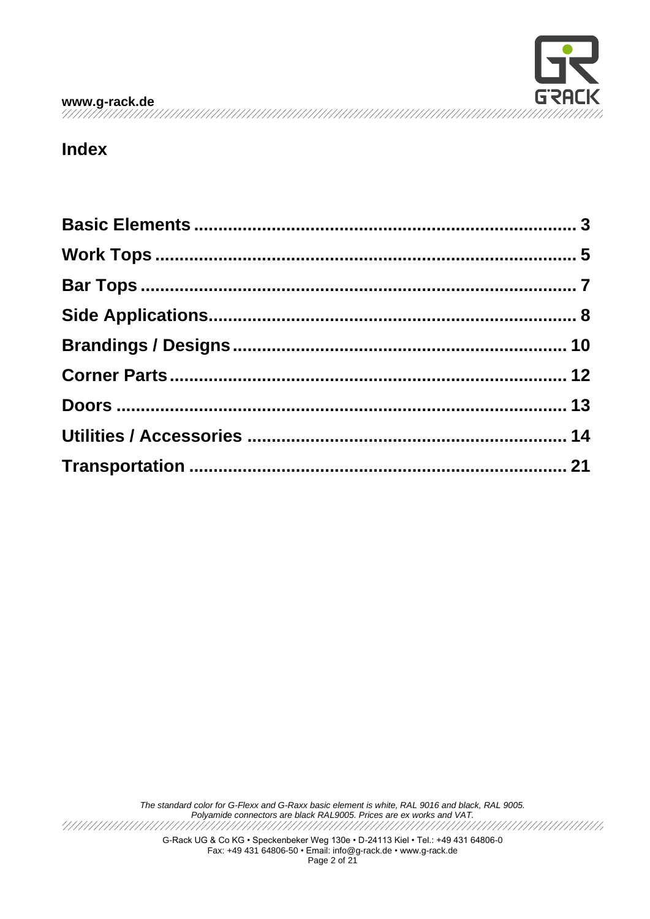

# **Index**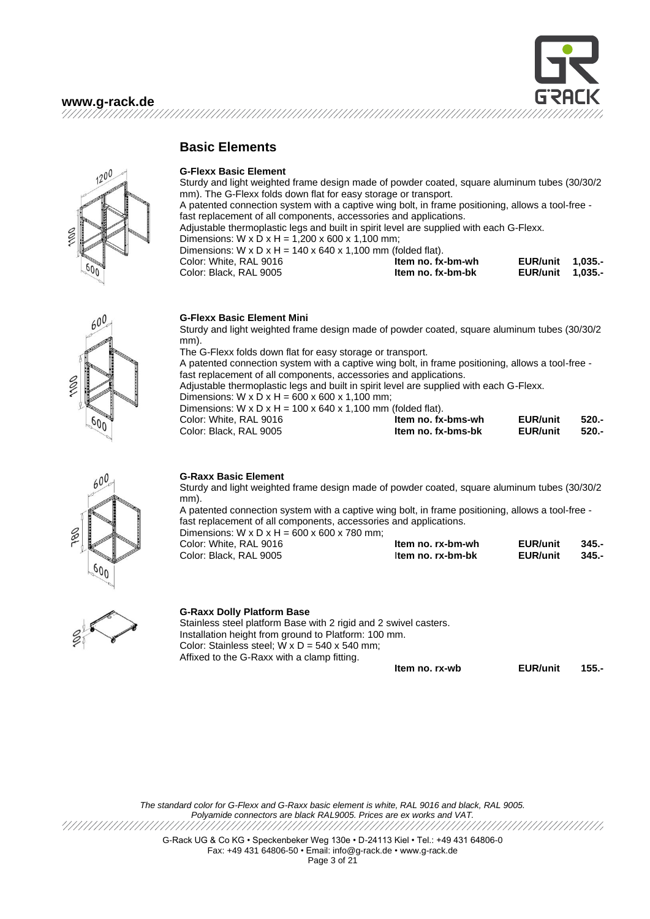

### **Basic Elements**

### **G-Flexx Basic Element**

Sturdy and light weighted frame design made of powder coated, square aluminum tubes (30/30/2 mm). The G-Flexx folds down flat for easy storage or transport. A patented connection system with a captive wing bolt, in frame positioning, allows a tool-free fast replacement of all components, accessories and applications. Adjustable thermoplastic legs and built in spirit level are supplied with each G-Flexx. Dimensions: W x D x H =  $1,200$  x 600 x 1,100 mm; Dimensions:  $W \times D \times H = 140 \times 640 \times 1,100 \text{ mm}$  (folded flat).<br>Color: White. RAL 9016<br>**Item no. fx-bm-wh** Color: White, RAL 9016 **Item no. fx-bm-wh EUR/unit 1,035.-** Color: Black, RAL 9005 **Item no. fx-bm-bk EUR/unit 1,035.-**

### **G-Flexx Basic Element Mini**

Sturdy and light weighted frame design made of powder coated, square aluminum tubes (30/30/2 mm).

The G-Flexx folds down flat for easy storage or transport. A patented connection system with a captive wing bolt, in frame positioning, allows a tool-free fast replacement of all components, accessories and applications.

Adjustable thermoplastic legs and built in spirit level are supplied with each G-Flexx.

Dimensions: W x D x H =  $600 \times 600 \times 1,100$  mm;

Dimensions: W x D x H = 100 x 640 x 1,100 mm (folded flat).

| Color: White, RAL 9016 | Item no. fx-bms-wh | <b>EUR/unit</b> | -520.- |
|------------------------|--------------------|-----------------|--------|
| Color: Black, RAL 9005 | Item no. fx-bms-bk | <b>EUR/unit</b> | -520.- |

| Color: Black, RAL 9005      |
|-----------------------------|
|                             |
| <b>G-Raxx Basic Element</b> |

Sturdy and light weighted frame design made of powder coated, square aluminum tubes (30/30/2 mm).

A patented connection system with a captive wing bolt, in frame positioning, allows a tool-free fast replacement of all components, accessories and applications. Dimensions: W x D x H =  $600 \times 600 \times 780$  mm;

Color: Black, RAL 9005

Color: White, RAL 9016 **Item no. rx-bm-wh EUR/unit 345.-**



 $600$ 

### **G-Raxx Dolly Platform Base**

Stainless steel platform Base with 2 rigid and 2 swivel casters. Installation height from ground to Platform: 100 mm. Color: Stainless steel;  $\overline{W}$  x D = 540 x 540 mm; Affixed to the G-Raxx with a clamp fitting.

**Item no. rx-wb EUR/unit 155.-**

*The standard color for G-Flexx and G-Raxx basic element is white, RAL 9016 and black, RAL 9005. Polyamide connectors are black RAL9005. Prices are ex works and VAT.* /////////////////////

> G-Rack UG & Co KG • Speckenbeker Weg 130e • D-24113 Kiel • Tel.: +49 431 64806-0 Fax: +49 431 64806-50 • Email: [info@g-rack.de](mailto:info@g-rack.de) • www.g-rack.de

<span id="page-2-0"></span>



600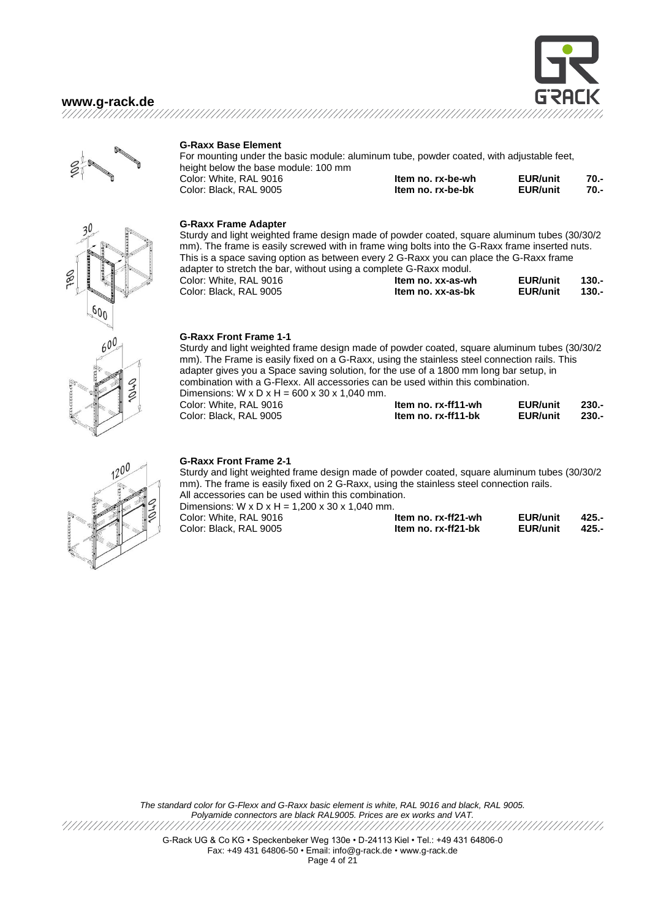



 $600^{\circ}$ 

600

PADY

### **G-Raxx Base Element**

For mounting under the basic module: aluminum tube, powder coated, with adjustable feet, height below the base module: 100 mm Color: White, RAL 9016 **Item no. rx-be-wh EUR/unit 70.-**  $Color: Black. RAL 9005$ 

### **G-Raxx Frame Adapter**

Sturdy and light weighted frame design made of powder coated, square aluminum tubes (30/30/2 mm). The frame is easily screwed with in frame wing bolts into the G-Raxx frame inserted nuts. This is a space saving option as between every 2 G-Raxx you can place the G-Raxx frame adapter to stretch the bar, without using a complete G-Raxx modul.

| adapter to stretch the bar, without using a complete G-Raxx modul. |                   |                 |        |
|--------------------------------------------------------------------|-------------------|-----------------|--------|
| Color: White, RAL 9016                                             | ltem no. xx-as-wh | <b>EUR/unit</b> | -130.- |
| Color: Black, RAL 9005                                             | Item no. xx-as-bk | <b>EUR/unit</b> | 130.-  |

### **G-Raxx Front Frame 1-1**

Sturdy and light weighted frame design made of powder coated, square aluminum tubes (30/30/2 mm). The Frame is easily fixed on a G-Raxx, using the stainless steel connection rails. This adapter gives you a Space saving solution, for the use of a 1800 mm long bar setup, in combination with a G-Flexx. All accessories can be used within this combination. Dimensions: W x D x H =  $600 \times 30 \times 1,040$  mm. Color: White, RAL 9016 Color: Black, RAL 9005

| . |                     |                 |        |
|---|---------------------|-----------------|--------|
|   | Item no. rx-ff11-wh | <b>EUR/unit</b> | -230.  |
|   | ltem no. rx-ff11-bk | <b>EUR/unit</b> | -230.- |

# $1200$

### **G-Raxx Front Frame 2-1**

Sturdy and light weighted frame design made of powder coated, square aluminum tubes (30/30/2 mm). The frame is easily fixed on 2 G-Raxx, using the stainless steel connection rails. All accessories can be used within this combination.<br>Dimensions:  $W \times D \times H = 1,200 \times 30 \times 1,040 \text{ mm}$  $= 1,200 \times 30 \times 1,040 \text{ mm}.$ 

| DIMENSIONS. W X D X $n = 1,200$ X 30 X  |  |
|-----------------------------------------|--|
| $C2$ $\sim$ $M/L$ $\sim$ $R1$ $R2$ $R3$ |  |

| Color: White, RAL 9016 | Item no. rx-ff21-wh | <b>EUR/unit</b> | 425.- |
|------------------------|---------------------|-----------------|-------|
| Color: Black, RAL 9005 | ltem no. rx-ff21-bk | <b>EUR/unit</b> | 425.- |

*The standard color for G-Flexx and G-Raxx basic element is white, RAL 9016 and black, RAL 9005. Polyamide connectors are black RAL9005. Prices are ex works and VAT.* 

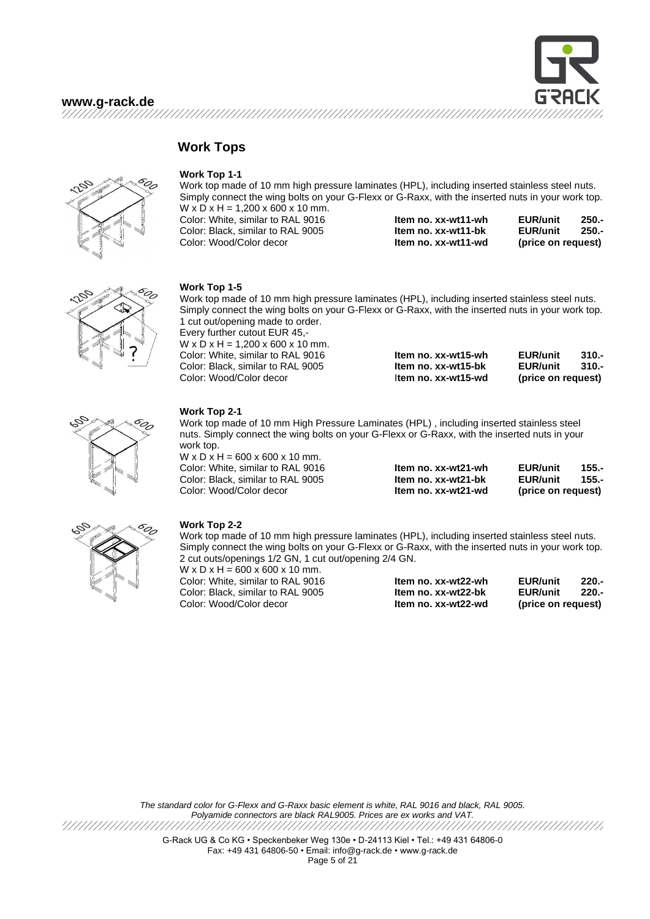**Work Tops** 

<span id="page-4-0"></span>

### **Work Top 1-1**

Work top made of 10 mm high pressure laminates (HPL), including inserted stainless steel nuts. Simply connect the wing bolts on your G-Flexx or G-Raxx, with the inserted nuts in your work top.<br>W.v.D.v.U. 4.200 v.C00 v.40 mm  $-1,200 \times 600 \times 10 \times$ 

| $VX D X D = 1.200 X 000 X 1011111.$ |                     |                    |       |
|-------------------------------------|---------------------|--------------------|-------|
| Color: White, similar to RAL 9016   | Item no. xx-wt11-wh | <b>EUR/unit</b>    | 250.  |
| Color: Black, similar to RAL 9005   | Item no. xx-wt11-bk | EUR/unit           | 250.- |
| Color: Wood/Color decor             | Item no. xx-wt11-wd | (price on request) |       |



### **Work Top 1-5**

Work top made of 10 mm high pressure laminates (HPL), including inserted stainless steel nuts. Simply connect the wing bolts on your G-Flexx or G-Raxx, with the inserted nuts in your work top. 1 cut out/opening made to order. Every further cutout EUR 45,-  $W \times D \times H = 1.200 \times 600 \times 10$  mm. Color: White, similar to RAL 9016 **Item no. xx-wt15-wh EUR/unit 310.-** Color: Black, similar to RAL 9005 **Item no. xx-wt15-bk EUR/unit 310.-** Color: Wood/Color decor I**tem no. xx-wt15-wd (price on request)**



### **Work Top 2-1**

Work top made of 10 mm High Pressure Laminates (HPL) , including inserted stainless steel nuts. Simply connect the wing bolts on your G-Flexx or G-Raxx, with the inserted nuts in your work top.

W x D x H =  $600$  x  $600$  x 10 mm. Color: White, similar to RAL 9016 Color: Black, similar to RAL 9005 Color: Wood/Color decor

| ltem no. xx-wt21-wh | <b>EUR/unit</b>    | $155 -$ |
|---------------------|--------------------|---------|
| ltem no. xx-wt21-bk | <b>EUR/unit</b>    | $155 -$ |
| ltem no. xx-wt21-wd | (price on request) |         |



### **Work Top 2-2**

Work top made of 10 mm high pressure laminates (HPL), including inserted stainless steel nuts. Simply connect the wing bolts on your G-Flexx or G-Raxx, with the inserted nuts in your work top. 2 cut outs/openings 1/2 GN, 1 cut out/opening 2/4 GN.

W x D x H =  $600 \times 600 \times 10$  mm. Color: White, similar to RAL 9016 Color: Black, similar to RAL 9005 Color: Wood/Color decor

| Item no. xx-wt22-wh | <b>EUR/unit</b>    | $220 -$ |
|---------------------|--------------------|---------|
| Item no. xx-wt22-bk | <b>EUR/unit</b>    | -220.   |
| Item no. xx-wt22-wd | (price on request) |         |

*The standard color for G-Flexx and G-Raxx basic element is white, RAL 9016 and black, RAL 9005. Polyamide connectors are black RAL9005. Prices are ex works and VAT.* /////////////////////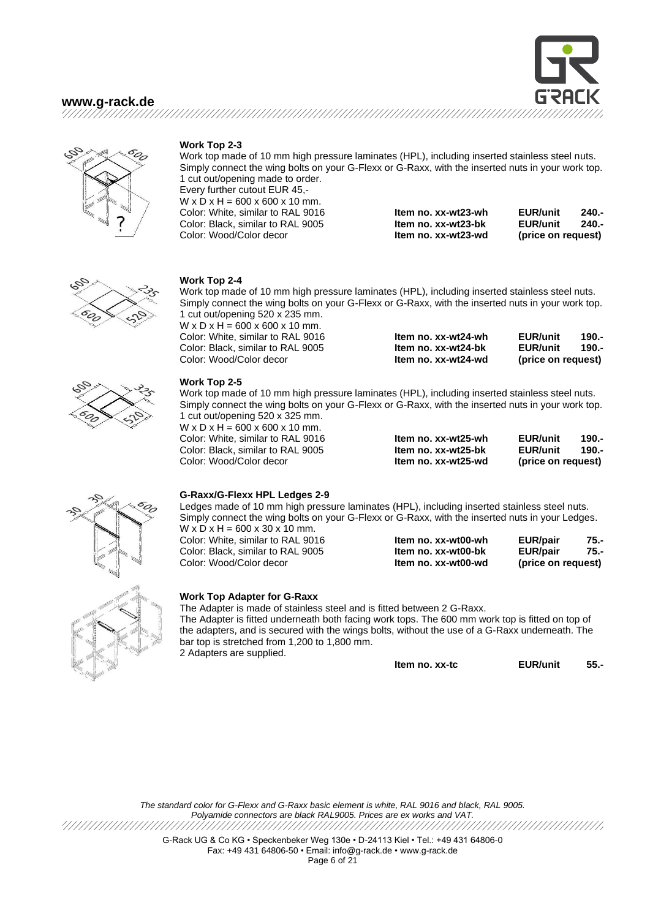

### **Work Top 2-3**

Work top made of 10 mm high pressure laminates (HPL), including inserted stainless steel nuts. Simply connect the wing bolts on your G-Flexx or G-Raxx, with the inserted nuts in your work top. 1 cut out/opening made to order. Every further cutout EUR 45,-  $W \times D \times H = 600 \times 600 \times 10$  mm. Color: White, similar to RAL 9016 **Item no. xx-wt23-wh EUR/unit 240.-** Color: Black, similar to RAL 9005 Color: Wood/Color decor **Item no. xx-wt23-wd (price on request)**



### **Work Top 2-4**

Work top made of 10 mm high pressure laminates (HPL), including inserted stainless steel nuts. Simply connect the wing bolts on your G-Flexx or G-Raxx, with the inserted nuts in your work top. 1 cut out/opening 520 x 235 mm.

 $W \times D \times H = 600 \times 600 \times 10$  mm. Color: White, similar to RAL 9016 **Item no. xx-wt24-wh EUR/unit 190.-** Color: Black, similar to RAL 9005 **Item no. xx-wt24-bk EUR/unit 190.-** Color: Wood/Color decor **Item no. xx-wt24-wd** 

### **Work Top 2-5**

Work top made of 10 mm high pressure laminates (HPL), including inserted stainless steel nuts. Simply connect the wing bolts on your G-Flexx or G-Raxx, with the inserted nuts in your work top. 1 cut out/opening 520 x 325 mm.

 $W \times D \times H = 600 \times 600 \times 10$  mm. **Color: White, similar to RAL 9016 Color: Black, similar to RAL 9005** Color: Wood/Color decor

| Item no. xx-wt25-wh | <b>EUR/unit</b>    | 190.- |
|---------------------|--------------------|-------|
| Item no. xx-wt25-bk | <b>EUR/unit</b>    | 190.- |
| Item no. xx-wt25-wd | (price on request) |       |

### **G-Raxx/G-Flexx HPL Ledges 2-9**

Ledges made of 10 mm high pressure laminates (HPL), including inserted stainless steel nuts. Simply connect the wing bolts on your G-Flexx or G-Raxx, with the inserted nuts in your Ledges.  $W \times D \times H = 600 \times 30 \times 10$  mm.

Color: White, similar to RAL 9016 **Item no. xx-wt00-wh EUR/pair 75.-** Color: Black, similar to RAL 9005 **Item no. xx-wt00-bk EUR/pair 75.-** Color: Wood/Color decor **Item no. xx-wt00-wd (price on request)**

**Work Top Adapter for G-Raxx**

The Adapter is made of stainless steel and is fitted between 2 G-Raxx. The Adapter is fitted underneath both facing work tops. The 600 mm work top is fitted on top of the adapters, and is secured with the wings bolts, without the use of a G-Raxx underneath. The bar top is stretched from 1,200 to 1,800 mm. 2 Adapters are supplied.

**Item no. xx-tc EUR/unit 55.-**

*The standard color for G-Flexx and G-Raxx basic element is white, RAL 9016 and black, RAL 9005. Polyamide connectors are black RAL9005. Prices are ex works and VAT.* /////////////////////// 

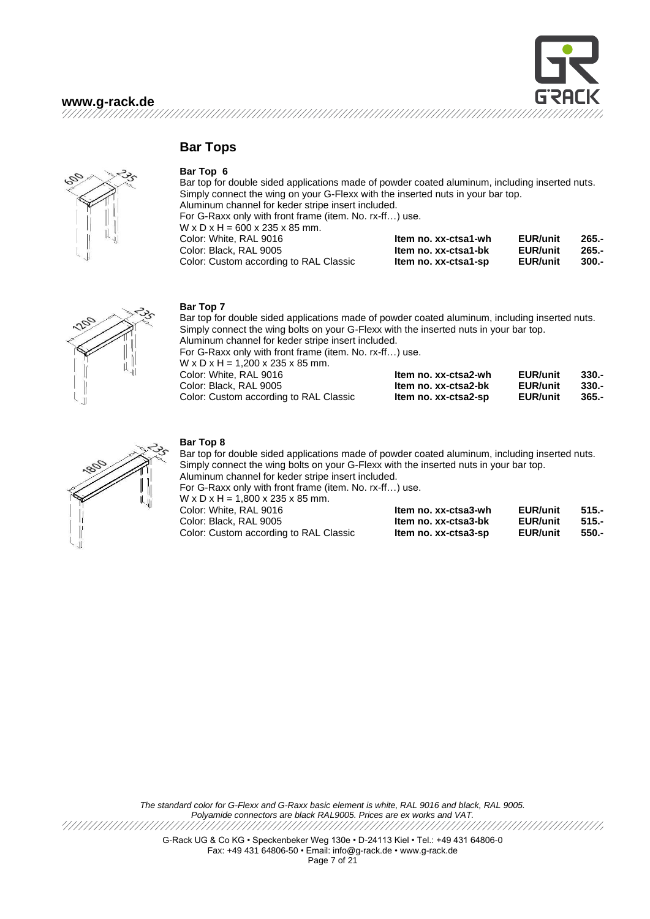

### **Bar Tops**

<span id="page-6-0"></span>

### **Bar Top 6**

Bar top for double sided applications made of powder coated aluminum, including inserted nuts. Simply connect the wing on your G-Flexx with the inserted nuts in your bar top. Aluminum channel for keder stripe insert included. For G-Raxx only with front frame (item. No. rx-ff…) use.  $W \times D \times H = 600 \times 235 \times 85$  mm. Color: White, RAL 9016 **Item no. xx-ctsa1-wh EUR/unit 265.-** Color: Black, RAL 9005 **Item no. xx-ctsa1-bk EUR/unit 265.-** Color: Custom according to RAL Classic **Item no. xx-ctsa1-sp** 



### **Bar Top 7**

Bar top for double sided applications made of powder coated aluminum, including inserted nuts. Simply connect the wing bolts on your G-Flexx with the inserted nuts in your bar top. Aluminum channel for keder stripe insert included. For G-Raxx only with front frame (item. No. rx-ff…) use. W x D x H =  $1,200$  x 235 x 85 mm. Color: White, RAL 9016 **Item no. xx-ctsa2-wh EUR/unit 330.-** Color: Black, RAL 9005 **Item no. xx-ctsa2-bk EUR/unit 330.-** Color: Custom according to RAL Classic **Item no. xx-ctsa2-sp EUR/unit 365.-**



### **Bar Top 8**

Bar top for double sided applications made of powder coated aluminum, including inserted nuts. Simply connect the wing bolts on your G-Flexx with the inserted nuts in your bar top. Aluminum channel for keder stripe insert included. For G-Raxx only with front frame (item. No. rx-ff…) use. W x D x H =  $1,800$  x 235 x 85 mm. Color: White, RAL 9016 **Item no. xx-ctsa3-wh EUR/unit 515.-** Color: Black, RAL 9005 **Item no. xx-ctsa3-bk EUR/unit Color: EUR/unit 51.1515.**<br>Color: Custom according to RAL Classic **Item no. xx-ctsa3-sp EUR/unit** 

Color: Custom according to RAL Classic **Item no. xx-ctsa3-sp EUR/unit 550.-**

*The standard color for G-Flexx and G-Raxx basic element is white, RAL 9016 and black, RAL 9005. Polyamide connectors are black RAL9005. Prices are ex works and VAT.* /////////////////////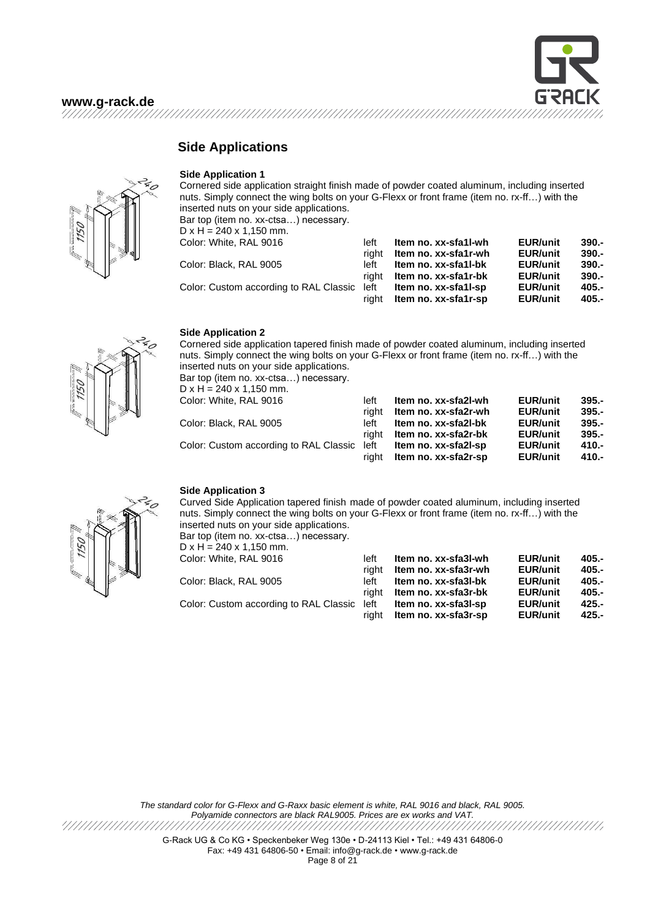

### <span id="page-7-0"></span>**Side Applications**

### **Side Application 1**

Cornered side application straight finish made of powder coated aluminum, including inserted nuts. Simply connect the wing bolts on your G-Flexx or front frame (item no. rx-ff…) with the inserted nuts on your side applications. Bar top (item no. xx-ctsa…) necessary.  $D \times H = 240 \times 1,150$  mm. Color: White, RAL 9016 left **Item no. xx-sfa1l-wh EUR/unit 390.** right **Item no. xx-sfa1r-wh EUR/unit 390.-** Color: Black, RAL 9005 left **Item no. xx-sfa1l-bk EUR/unit 390.** right **Item no. xx-sfa1r-bk EUR/unit 390.-** Color: Custom according to RAL Classic left **Item no. xx-sfa1l-sp EUR/unit 405.** right **Item no. xx-sfa1r-sp EUR/unit 405.-**



### **Side Application 2**

Cornered side application tapered finish made of powder coated aluminum, including inserted nuts. Simply connect the wing bolts on your G-Flexx or front frame (item no. rx-ff...) with the inserted nuts on your side applications.

Bar top (item no. xx-ctsa…) necessary.  $D \times H = 240 \times 1,150$  mm.

Color: White, RAL 9016 left **Item no. xx-sfa2l-wh EUR/unit 395.-**



### **Side Application 3**

Curved Side Application tapered finish made of powder coated aluminum, including inserted nuts. Simply connect the wing bolts on your G-Flexx or front frame (item no. rx-ff…) with the inserted nuts on your side applications.

Bar top (item no. xx-ctsa…) necessary.

| $D \times H = 240 \times 1,150$ mm.    |       |                      |                 |         |
|----------------------------------------|-------|----------------------|-----------------|---------|
| Color: White, RAL 9016                 | left  | Item no. xx-sfa3l-wh | <b>EUR/unit</b> | 405.-   |
|                                        | riaht | Item no. xx-sfa3r-wh | <b>EUR/unit</b> | 405.-   |
| Color: Black, RAL 9005                 | left  | Item no. xx-sfa3l-bk | <b>EUR/unit</b> | 405.-   |
|                                        | riaht | ltem no. xx-sfa3r-bk | <b>EUR/unit</b> | $405 -$ |
| Color: Custom according to RAL Classic | left  | Item no. xx-sfa3l-sp | <b>EUR/unit</b> | 425.-   |
|                                        | riaht | Item no. xx-sfa3r-sp | <b>EUR/unit</b> | 425.-   |
|                                        |       |                      |                 |         |

*The standard color for G-Flexx and G-Raxx basic element is white, RAL 9016 and black, RAL 9005. Polyamide connectors are black RAL9005. Prices are ex works and VAT.* //////////////////////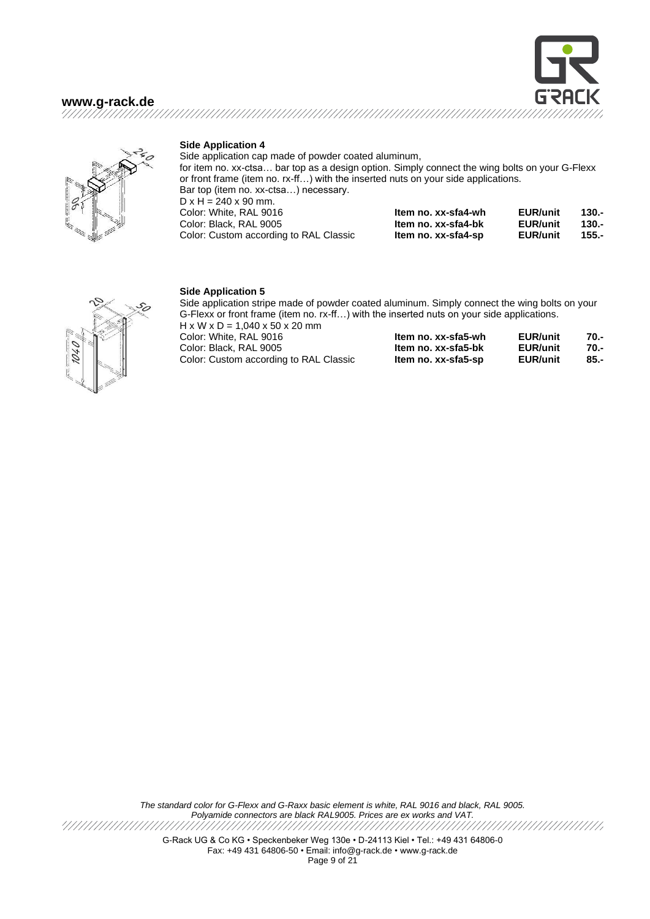



### **Side Application 4**

Side application cap made of powder coated aluminum, for item no. xx-ctsa… bar top as a design option. Simply connect the wing bolts on your G-Flexx or front frame (item no. rx-ff…) with the inserted nuts on your side applications. Bar top (item no. xx-ctsa…) necessary.  $D \times H = 240 \times 90$  mm. Color: White, RAL 9016 **Item no. xx-sfa4-wh EUR/unit 130.-** Color: Black, RAL 9005 **Item no. xx-sfa4-bk EUR/unit 130.-** Color: Custom according to RAL Classic **Item no. xx-sfa4-sp** 



### **Side Application 5**

Side application stripe made of powder coated aluminum. Simply connect the wing bolts on your G-Flexx or front frame (item no. rx-ff…) with the inserted nuts on your side applications.

 $H \times W \times D = 1,040 \times 50 \times 20$  mm **Color: White, RAL 9016**  $Color: Black, RAL 9005$ **Color: Custom according to RAL Classic** 

| Item no. xx-sfa5-wh | <b>EUR/unit</b> | 70.- |
|---------------------|-----------------|------|
| Item no. xx-sfa5-bk | <b>EUR/unit</b> | 70.- |
| Item no. xx-sfa5-sp | <b>EUR/unit</b> | 85.- |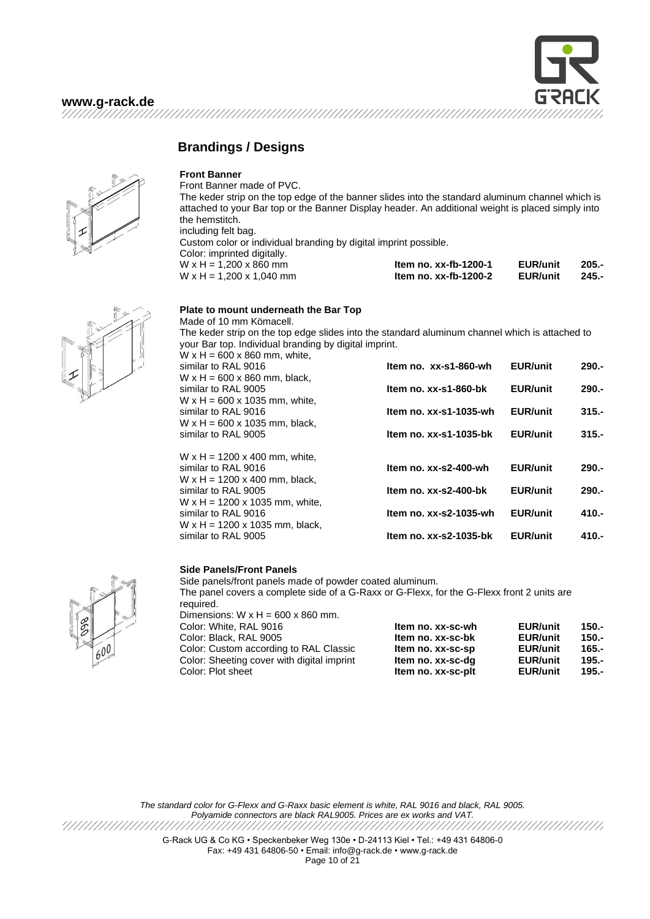

### **Brandings / Designs**

<span id="page-9-0"></span>

**Front Banner** 

Front Banner made of PVC.

The keder strip on the top edge of the banner slides into the standard aluminum channel which is attached to your Bar top or the Banner Display header. An additional weight is placed simply into the hemstitch.

including felt bag. Custom color or individual branding by digital imprint possible.

Color: imprinted digitally.

W x H = 1,200 x 860 mm W x H = 1,200 x 1,040 mm

| Item no. $xx$ -fb-1200-1 | <b>EUR/unit</b> | $205 -$ |
|--------------------------|-----------------|---------|
| Item no. $xx$ -fb-1200-2 | <b>EUR/unit</b> | $245 -$ |

Item no. xx-sc-plt **EUR/unit** 195.-

### **Plate to mount underneath the Bar Top**

Made of 10 mm Kömacell. The keder strip on the top edge slides into the standard aluminum channel which is attached to your Bar top. Individual branding by digital imprint.

| Item no. xx-s1-860-wh   | <b>EUR/unit</b>                                                                   | $290 -$                                               |
|-------------------------|-----------------------------------------------------------------------------------|-------------------------------------------------------|
|                         |                                                                                   |                                                       |
| Item no. xx-s1-860-bk   | <b>EUR/unit</b>                                                                   | $290 -$                                               |
|                         |                                                                                   |                                                       |
|                         |                                                                                   | $315 -$                                               |
|                         |                                                                                   |                                                       |
|                         |                                                                                   | $315 -$                                               |
|                         |                                                                                   |                                                       |
|                         |                                                                                   | $290 -$                                               |
|                         |                                                                                   |                                                       |
| Item no. $xx-s2-400-bk$ | <b>EUR/unit</b>                                                                   | $290 -$                                               |
|                         |                                                                                   |                                                       |
| Item no. xx-s2-1035-wh  | <b>EUR/unit</b>                                                                   | $410 -$                                               |
|                         |                                                                                   |                                                       |
|                         | Item no. xx-s1-1035-wh<br>Item no. $xx$ -s1-1035-b $k$<br>Item no. $xx-s2-400-wh$ | <b>EUR/unit</b><br><b>EUR/unit</b><br><b>EUR/unit</b> |

similar to RAL 9005 **Item no. xx-s2-1035-bk EUR/unit 410.-**

### **Side Panels/Front Panels**

Side panels/front panels made of powder coated aluminum. The panel covers a complete side of a G-Raxx or G-Flexx, for the G-Flexx front 2 units are required. Dimensions:  $W \times H = 600 \times 860$  mm. Color: White, RAL 9016 **Item no. xx-sc-wh EUR/unit 150.-** Color: Black, RAL 9005 **Item no. xx-sc-bk EUR/unit**<br>Color: Custom according to RAL Classic **Item no. xx-sc-sp EUR/unit** Color: Custom according to RAL Classic **Item no. xx-sc-sp EUR/unit 165.-** Color: Sheeting cover with digital imprint **Item no. xx-sc-dg EUR/unit**<br>Color: Plot sheet **Item no. xx-sc-plt EUR/unit** 



*The standard color for G-Flexx and G-Raxx basic element is white, RAL 9016 and black, RAL 9005. Polyamide connectors are black RAL9005. Prices are ex works and VAT.*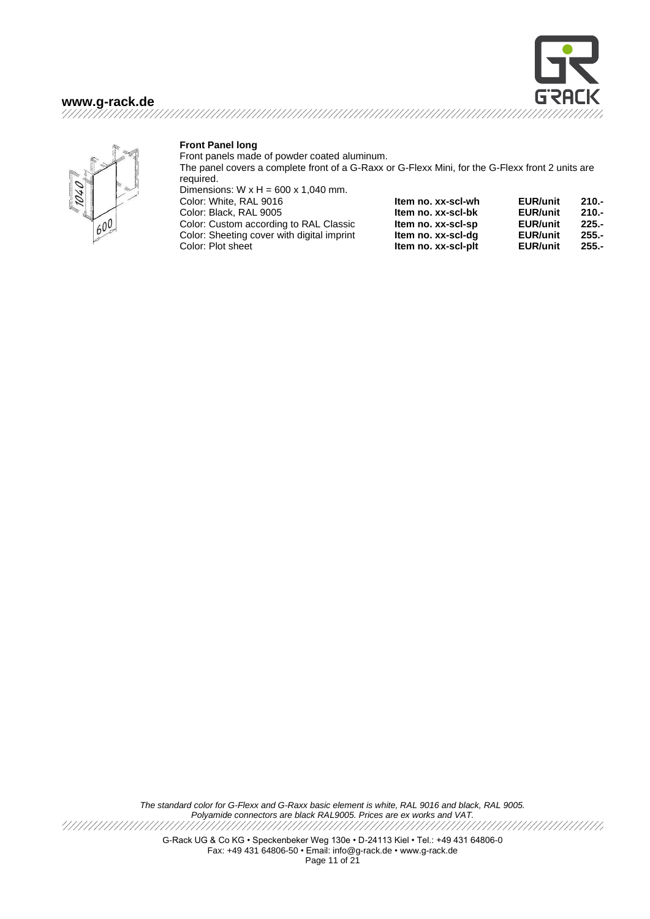



### **Front Panel long**

Front panels made of powder coated aluminum.

The panel covers a complete front of a G-Raxx or G-Flexx Mini, for the G-Flexx front 2 units are required.

Dimensions:  $W \times H = 600 \times 1.040$  mm.

Color: White, RAL 9016

Color: Black, RAL 9005

**Color: Custom according to RAL Classic** Color: Sheeting cover with digital imprint  $Color: Plot sheet$ 

| Item no. xx-scl-wh  | <b>EUR/unit</b> | 210. |
|---------------------|-----------------|------|
| Item no. xx-scl-bk  | <b>EUR/unit</b> | 210. |
| Item no. xx-scl-sp  | <b>EUR/unit</b> | 225. |
| Item no. xx-scl-dq  | <b>EUR/unit</b> | 255. |
| Item no. xx-scl-plt | <b>EUR/unit</b> | 255. |

*The standard color for G-Flexx and G-Raxx basic element is white, RAL 9016 and black, RAL 9005. Polyamide connectors are black RAL9005. Prices are ex works and VAT.*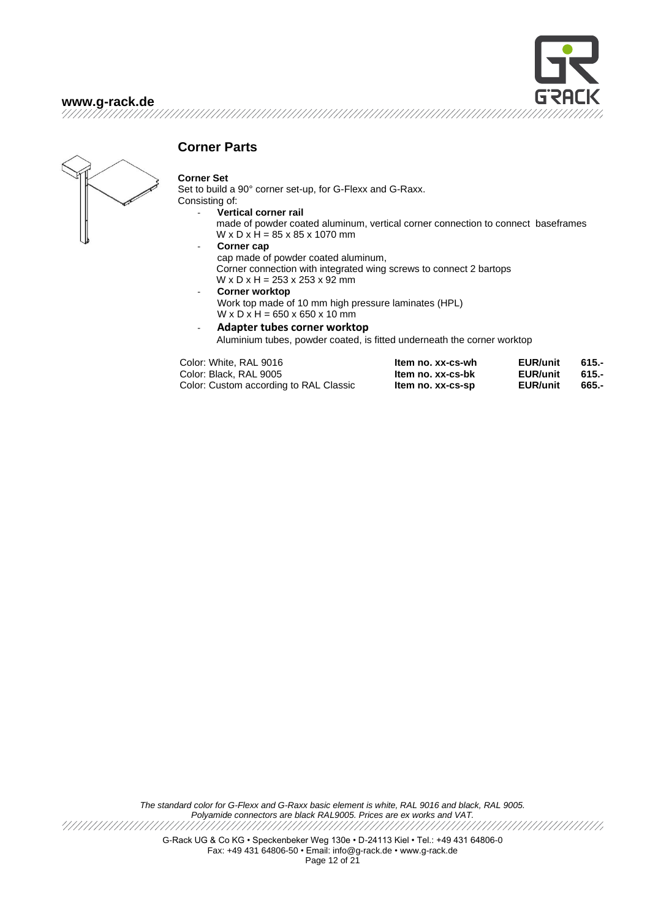

### **Corner Parts**

<span id="page-11-0"></span>

### **Corner Set**

Set to build a 90° corner set-up, for G-Flexx and G-Raxx. Consisting of:

- **Vertical corner rail** made of powder coated aluminum, vertical corner connection to connect baseframes
	- $W \times D \times H = 85 \times 85 \times 1070$  mm
- Corner cap
- cap made of powder coated aluminum, Corner connection with integrated wing screws to connect 2 bartops W x D x H = 253 x 253 x 92 mm Corner worktop

Work top made of 10 mm high pressure laminates (HPL)

 $W \times D \times H = 650 \times 650 \times 10$  mm - **Adapter tubes corner worktop**

Aluminium tubes, powder coated, is fitted underneath the corner worktop

| Color: White, RAL 9016                 | Item no. xx-cs-wh | EUR/unit | 615.- |
|----------------------------------------|-------------------|----------|-------|
| Color: Black, RAL 9005                 | ltem no. xx-cs-bk | EUR/unit | 615.- |
| Color: Custom according to RAL Classic | Item no. xx-cs-sp | EUR/unit | 665.- |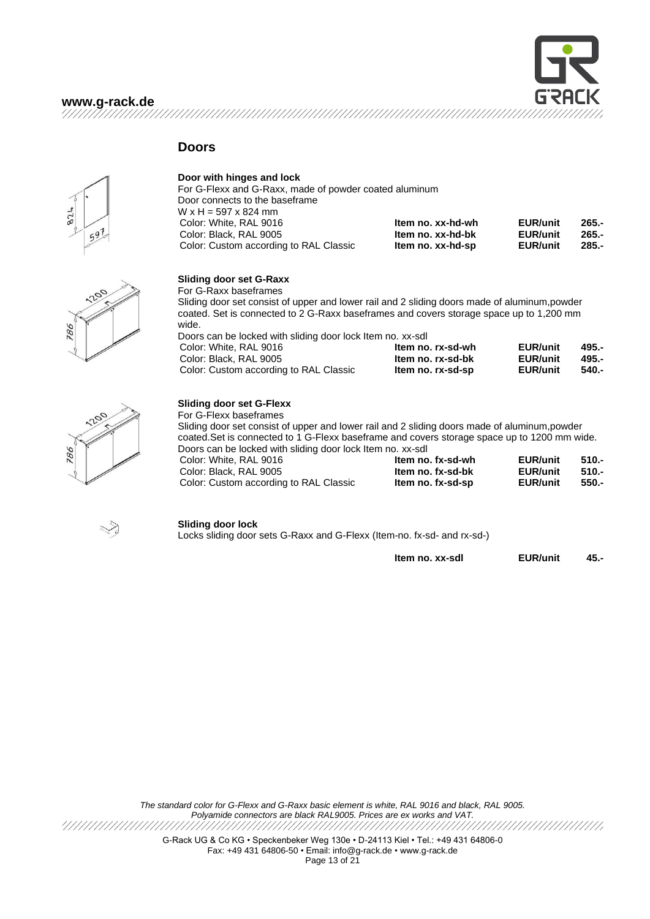

### **Doors**

<span id="page-12-0"></span>

**Door with hinges and lock** For G-Flexx and G-Raxx, made of powder coated aluminum Door connects to the baseframe  $W \times H = 597 \times 824$  mm Color: White, RAL 9016 **Item no. xx-hd-wh Color: Black, RAL 9005 Item no. xx-hd-bk** Color: Black, RAL 9005 **Item no. xx-hd-bk** Color: Custom according to RAL Classic **Item no. xx-hd-sp** Color: Custom according to RAL Classic **Item no. xx-hd-sp EUR/unit** 

| EUR/unit | 265.- |
|----------|-------|
| EUR/unit | 265.- |
| EIDlimit | 285 - |



### **Sliding door set G-Raxx**

For G-Raxx baseframes Sliding door set consist of upper and lower rail and 2 sliding doors made of aluminum,powder coated. Set is connected to 2 G-Raxx baseframes and covers storage space up to 1,200 mm wide. Doors can be locked with sliding door lock Item no. xx-sdl<br>Color: White. RAL 9016<br>Color: White. RAL 9016 Color: White, RAL 9016 **Item no. rx-sd-wh EUR/unit 495.-** Color: Black, RAL 9005 **Item no. rx-sd-bk EUR/unit 495.-** Color: Custom according to RAL Classic **Item no. rx-sd-sp** 



### **Sliding door set G-Flexx**

For G-Flexx baseframes Sliding door set consist of upper and lower rail and 2 sliding doors made of aluminum,powder coated.Set is connected to 1 G-Flexx baseframe and covers storage space up to 1200 mm wide.

| Doors can be locked with sliding door lock Item no. xx-sdl |                   |                 |         |
|------------------------------------------------------------|-------------------|-----------------|---------|
| Color: White, RAL 9016                                     | Item no. fx-sd-wh | <b>EUR/unit</b> | $510 -$ |
| Color: Black, RAL 9005                                     | Item no. fx-sd-bk | <b>EUR/unit</b> | -510.   |
| Color: Custom according to RAL Classic                     | Item no. fx-sd-sp | <b>EUR/unit</b> | -550.   |



### **Sliding door lock**

Locks sliding door sets G-Raxx and G-Flexx (Item-no. fx-sd- and rx-sd-)

| Item no. xx-sdl | <b>EUR/unit</b> | $45. -$ |
|-----------------|-----------------|---------|
|-----------------|-----------------|---------|

*The standard color for G-Flexx and G-Raxx basic element is white, RAL 9016 and black, RAL 9005. Polyamide connectors are black RAL9005. Prices are ex works and VAT.* /////////////////////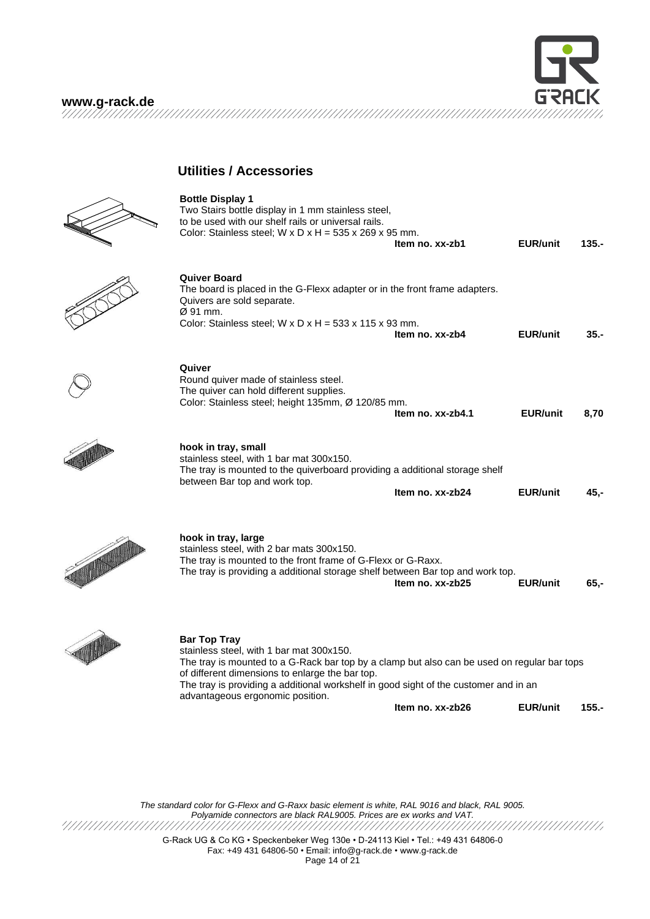

### **Utilities / Accessories**

<span id="page-13-0"></span>

| <b>Bottle Display 1</b><br>Two Stairs bottle display in 1 mm stainless steel,<br>to be used with our shelf rails or universal rails.<br>Color: Stainless steel; $W \times D \times H = 535 \times 269 \times 95$ mm.<br>Item no. xx-zb1                                                                                                                           | <b>EUR/unit</b> | $135 -$ |
|-------------------------------------------------------------------------------------------------------------------------------------------------------------------------------------------------------------------------------------------------------------------------------------------------------------------------------------------------------------------|-----------------|---------|
| <b>Quiver Board</b><br>The board is placed in the G-Flexx adapter or in the front frame adapters.<br>Quivers are sold separate.<br>Ø 91 mm.<br>Color: Stainless steel; $W \times D \times H = 533 \times 115 \times 93$ mm.<br>Item no. xx-zb4                                                                                                                    | <b>EUR/unit</b> | $35 -$  |
| Quiver<br>Round quiver made of stainless steel.<br>The quiver can hold different supplies.<br>Color: Stainless steel; height 135mm, Ø 120/85 mm.<br>Item no. xx-zb4.1                                                                                                                                                                                             | <b>EUR/unit</b> | 8,70    |
| hook in tray, small<br>stainless steel, with 1 bar mat 300x150.<br>The tray is mounted to the quiverboard providing a additional storage shelf<br>between Bar top and work top.<br>Item no. xx-zb24                                                                                                                                                               | <b>EUR/unit</b> | $45,-$  |
| hook in tray, large<br>stainless steel, with 2 bar mats 300x150.<br>The tray is mounted to the front frame of G-Flexx or G-Raxx.<br>The tray is providing a additional storage shelf between Bar top and work top.<br>Item no. xx-zb25                                                                                                                            | <b>EUR/unit</b> | $65,-$  |
| <b>Bar Top Tray</b><br>stainless steel, with 1 bar mat 300x150.<br>The tray is mounted to a G-Rack bar top by a clamp but also can be used on regular bar tops<br>of different dimensions to enlarge the bar top.<br>The tray is providing a additional workshelf in good sight of the customer and in an<br>advantageous ergonomic position.<br>Item no. xx-zb26 | <b>EUR/unit</b> | $155 -$ |

*The standard color for G-Flexx and G-Raxx basic element is white, RAL 9016 and black, RAL 9005. Polyamide connectors are black RAL9005. Prices are ex works and VAT.* //// //////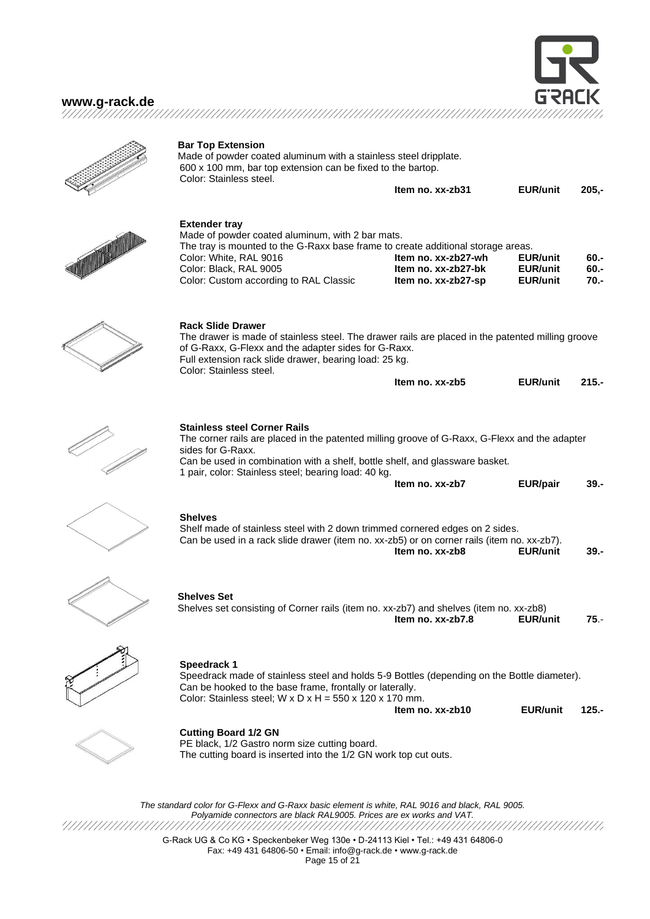

### **Bar Top Extension**

Made of powder coated aluminum with a stainless steel dripplate.<br>
600 v.400 mm, bestee outgesige see he fixed to the bestee.  $\overline{a}$  bar top extension can be fixed to the bartor.

| oud x Tud min, bar top extension can be lixed to the bartop.                                                                                                                                                                                                                                      |                                                                   |                                                       |                        |
|---------------------------------------------------------------------------------------------------------------------------------------------------------------------------------------------------------------------------------------------------------------------------------------------------|-------------------------------------------------------------------|-------------------------------------------------------|------------------------|
| Color: Stainless steel.                                                                                                                                                                                                                                                                           | Item no. xx-zb31                                                  | <b>EUR/unit</b>                                       | 205,                   |
| <b>Extender tray</b><br>Made of powder coated aluminum, with 2 bar mats.<br>The tray is mounted to the G-Raxx base frame to create additional storage areas.<br>Color: White, RAL 9016<br>Color: Black, RAL 9005<br>Color: Custom according to RAL Classic                                        | Item no. xx-zb27-wh<br>Item no. xx-zb27-bk<br>Item no. xx-zb27-sp | <b>EUR/unit</b><br><b>EUR/unit</b><br><b>EUR/unit</b> | 60.-<br>60.<br>$70. -$ |
| <b>Rack Slide Drawer</b><br>The drawer is made of stainless steel. The drawer rails are placed in the patented milling groove<br>of G-Raxx, G-Flexx and the adapter sides for G-Raxx.<br>Full extension rack slide drawer, bearing load: 25 kg.<br>Color: Stainless steel.                        | Item no. xx-zb5                                                   | <b>EUR/unit</b>                                       | $215. -$               |
| <b>Stainless steel Corner Rails</b><br>The corner rails are placed in the patented milling groove of G-Raxx, G-Flexx and the adapter<br>sides for G-Raxx.<br>Can be used in combination with a shelf, bottle shelf, and glassware basket.<br>1 pair, color: Stainless steel; bearing load: 40 kg. | Item no. xx-zb7                                                   | <b>EUR/pair</b>                                       | 39.-                   |
| <b>Shelves</b><br>Shelf made of stainless steel with 2 down trimmed cornered edges on 2 sides.<br>Can be used in a rack slide drawer (item no. xx-zb5) or on corner rails (item no. xx-zb7).                                                                                                      | Item no. xx-zb8                                                   | <b>EUR/unit</b>                                       | 39.-                   |
| <b>Shelves Set</b><br>Shelves set consisting of Corner rails (item no. xx-zb7) and shelves (item no. xx-zb8)                                                                                                                                                                                      | Item no. xx-zb7.8                                                 | <b>EUR/unit</b>                                       | 75.-                   |
| Speedrack 1<br>Speedrack made of stainless steel and holds 5-9 Bottles (depending on the Bottle diameter).<br>Can be hooked to the base frame, frontally or laterally.<br>Color: Stainless steel; $W \times D \times H = 550 \times 120 \times 170$ mm.                                           | Item no. xx-zb10                                                  | <b>EUR/unit</b>                                       | 125.-                  |
| <b>Cutting Board 1/2 GN</b><br>PE black, 1/2 Gastro norm size cutting board.<br>The cutting board is inserted into the 1/2 GN work top cut outs.                                                                                                                                                  |                                                                   |                                                       |                        |

*The standard color for G-Flexx and G-Raxx basic element is white, RAL 9016 and black, RAL 9005. Polyamide connectors are black RAL9005. Prices are ex works and VAT.*





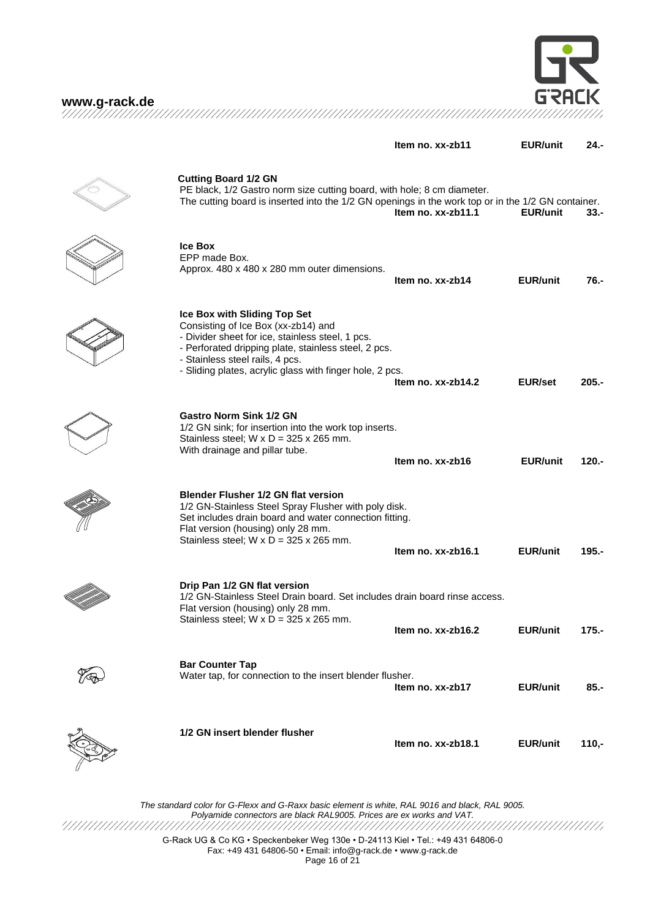$\overline{\mathcal{C}}$ **GSHC** 

| www.g-rack.de |  |
|---------------|--|
|               |  |

|                                                                                                                                                                                                                                                                                | Item no. xx-zb11   | <b>EUR/unit</b> | 24.۰  |
|--------------------------------------------------------------------------------------------------------------------------------------------------------------------------------------------------------------------------------------------------------------------------------|--------------------|-----------------|-------|
| <b>Cutting Board 1/2 GN</b><br>PE black, 1/2 Gastro norm size cutting board, with hole; 8 cm diameter.<br>The cutting board is inserted into the 1/2 GN openings in the work top or in the 1/2 GN container.                                                                   | Item no. xx-zb11.1 | <b>EUR/unit</b> | 33.-  |
| Ice Box<br>EPP made Box.<br>Approx. 480 x 480 x 280 mm outer dimensions.                                                                                                                                                                                                       | Item no. xx-zb14   | <b>EUR/unit</b> | 76.-  |
| Ice Box with Sliding Top Set<br>Consisting of Ice Box (xx-zb14) and<br>- Divider sheet for ice, stainless steel, 1 pcs.<br>- Perforated dripping plate, stainless steel, 2 pcs.<br>- Stainless steel rails, 4 pcs.<br>- Sliding plates, acrylic glass with finger hole, 2 pcs. | Item no. xx-zb14.2 | <b>EUR/set</b>  | 205.  |
| <b>Gastro Norm Sink 1/2 GN</b><br>1/2 GN sink; for insertion into the work top inserts.<br>Stainless steel; $W \times D = 325 \times 265$ mm.<br>With drainage and pillar tube.                                                                                                | Item no. xx-zb16   | <b>EUR/unit</b> | 120.· |
| <b>Blender Flusher 1/2 GN flat version</b><br>1/2 GN-Stainless Steel Spray Flusher with poly disk.<br>Set includes drain board and water connection fitting.<br>Flat version (housing) only 28 mm.<br>Stainless steel; $W \times D = 325 \times 265$ mm.                       | Item no. xx-zb16.1 | <b>EUR/unit</b> | 195.· |
| Drip Pan 1/2 GN flat version<br>1/2 GN-Stainless Steel Drain board. Set includes drain board rinse access.<br>Flat version (housing) only 28 mm.<br>Stainless steel; $W \times D = 325 \times 265$ mm.                                                                         | Item no. xx-zb16.2 | <b>EUR/unit</b> | 175.  |
| <b>Bar Counter Tap</b><br>Water tap, for connection to the insert blender flusher.                                                                                                                                                                                             | Item no. xx-zb17   | <b>EUR/unit</b> | 85.   |
| 1/2 GN insert blender flusher                                                                                                                                                                                                                                                  | Item no. xx-zb18.1 | <b>EUR/unit</b> | 110,  |
|                                                                                                                                                                                                                                                                                |                    |                 |       |

*The standard color for G-Flexx and G-Raxx basic element is white, RAL 9016 and black, RAL 9005. Polyamide connectors are black RAL9005. Prices are ex works and VAT.*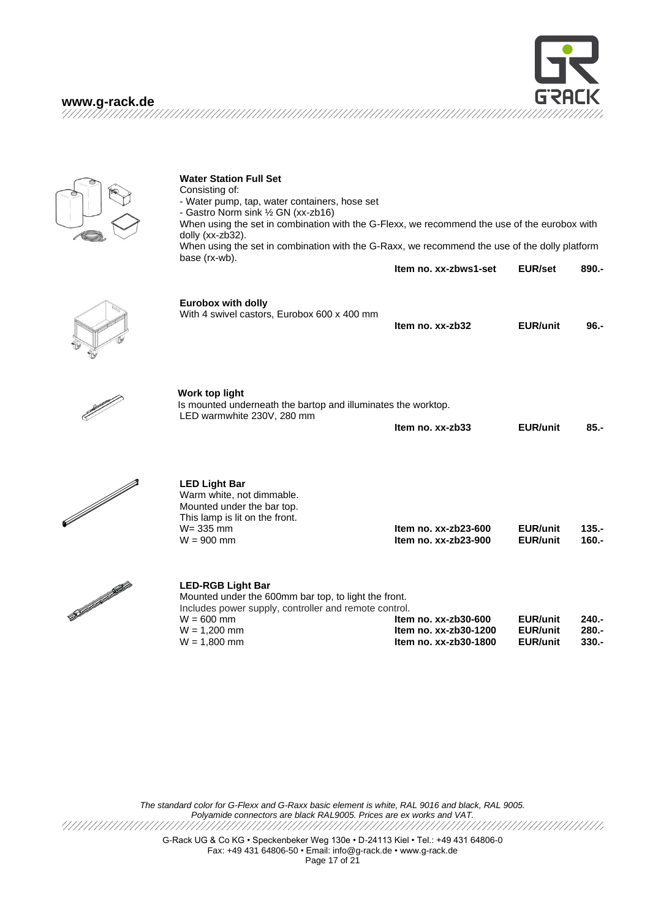

## **Water Station Full Set**

Consisting of:

- Water pump, tap, water containers, hose set

- Gastro Norm sink ½ GN (xx-zb16)

When using the set in combination with the G-Flexx, we recommend the use of the eurobox with dolly (xx-zb32).

When using the set in combination with the G-Raxx, we recommend the use of the dolly platform base (rx-wb). **Item no. xx-zbws1-set EUR/set 890.-**

|                                                                                                                                                                                                                                      | <b>Eurobox with dolly</b><br>With 4 swivel castors, Eurobox 600 x 400 mm                                                                                                                      | Item no. xx-zb32                                                           | <b>EUR/unit</b>                                       | $96 -$                        |
|--------------------------------------------------------------------------------------------------------------------------------------------------------------------------------------------------------------------------------------|-----------------------------------------------------------------------------------------------------------------------------------------------------------------------------------------------|----------------------------------------------------------------------------|-------------------------------------------------------|-------------------------------|
|                                                                                                                                                                                                                                      | Work top light<br>Is mounted underneath the bartop and illuminates the worktop.<br>LED warmwhite 230V, 280 mm                                                                                 | Item no. xx-zb33                                                           | EUR/unit                                              | $85 -$                        |
|                                                                                                                                                                                                                                      | <b>LED Light Bar</b><br>Warm white, not dimmable.<br>Mounted under the bar top.<br>This lamp is lit on the front.<br>$W = 335$ mm<br>$W = 900$ mm                                             | Item no. $xx-zb23-600$<br>Item no. $xx-zb23-900$                           | <b>EUR/unit</b><br><b>EUR/unit</b>                    | $135 -$<br>$160 -$            |
| <b>Contract Contract Contract Contract Contract Contract Contract Contract Contract Contract Contract Contract Contract Contract Contract Contract Contract Contract Contract Contract Contract Contract Contract Contract Contr</b> | <b>LED-RGB Light Bar</b><br>Mounted under the 600mm bar top, to light the front.<br>Includes power supply, controller and remote control.<br>$W = 600$ mm<br>$W = 1,200$ mm<br>$W = 1,800$ mm | Item no. $xx-zb30-600$<br>Item no. xx-zb30-1200<br>Item no. $xx-zb30-1800$ | <b>EUR/unit</b><br><b>EUR/unit</b><br><b>EUR/unit</b> | $240 -$<br>$280 -$<br>$330 -$ |

*The standard color for G-Flexx and G-Raxx basic element is white, RAL 9016 and black, RAL 9005. Polyamide connectors are black RAL9005. Prices are ex works and VAT.* 

Page 17 of 21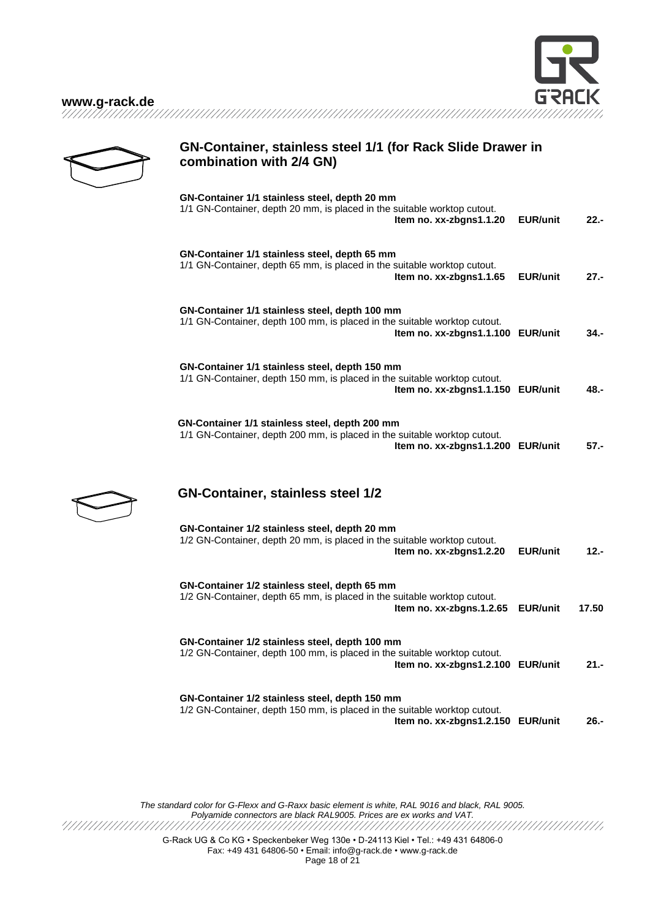

### **GN-Container, stainless steel 1/1 (for Rack Slide Drawer in combination with 2/4 GN)**

| GN-Container 1/1 stainless steel, depth 20 mm<br>1/1 GN-Container, depth 20 mm, is placed in the suitable worktop cutout.<br>Item no. xx-zbgns1.1.20             | <b>EUR/unit</b> | $22 -$  |
|------------------------------------------------------------------------------------------------------------------------------------------------------------------|-----------------|---------|
| GN-Container 1/1 stainless steel, depth 65 mm<br>1/1 GN-Container, depth 65 mm, is placed in the suitable worktop cutout.<br>Item no. xx-zbgns1.1.65             | <b>EUR/unit</b> | $27. -$ |
| GN-Container 1/1 stainless steel, depth 100 mm<br>1/1 GN-Container, depth 100 mm, is placed in the suitable worktop cutout.<br>Item no. xx-zbgns1.1.100 EUR/unit |                 | 34.-    |
| GN-Container 1/1 stainless steel, depth 150 mm<br>1/1 GN-Container, depth 150 mm, is placed in the suitable worktop cutout.<br>Item no. xx-zbgns1.1.150 EUR/unit |                 | 48.-    |
| GN-Container 1/1 stainless steel, depth 200 mm<br>1/1 GN-Container, depth 200 mm, is placed in the suitable worktop cutout.<br>Item no. xx-zbgns1.1.200 EUR/unit |                 | $57. -$ |
|                                                                                                                                                                  |                 |         |
| <b>GN-Container, stainless steel 1/2</b>                                                                                                                         |                 |         |
| GN-Container 1/2 stainless steel, depth 20 mm<br>1/2 GN-Container, depth 20 mm, is placed in the suitable worktop cutout.<br>Item no. xx-zbgns1.2.20             | <b>EUR/unit</b> | $12 -$  |
| GN-Container 1/2 stainless steel, depth 65 mm<br>1/2 GN-Container, depth 65 mm, is placed in the suitable worktop cutout.<br>Item no. xx-zbgns.1.2.65            | <b>EUR/unit</b> | 17.50   |
| GN-Container 1/2 stainless steel, depth 100 mm<br>1/2 GN-Container, depth 100 mm, is placed in the suitable worktop cutout.<br>Item no. xx-zbgns1.2.100 EUR/unit |                 | $21 -$  |
| GN-Container 1/2 stainless steel, depth 150 mm<br>1/2 GN-Container, depth 150 mm, is placed in the suitable worktop cutout.<br>Item no. xx-zbgns1.2.150 EUR/unit |                 | $26. -$ |

*The standard color for G-Flexx and G-Raxx basic element is white, RAL 9016 and black, RAL 9005. Polyamide connectors are black RAL9005. Prices are ex works and VAT.*  $^{\prime\prime}$ /  $^{\prime}$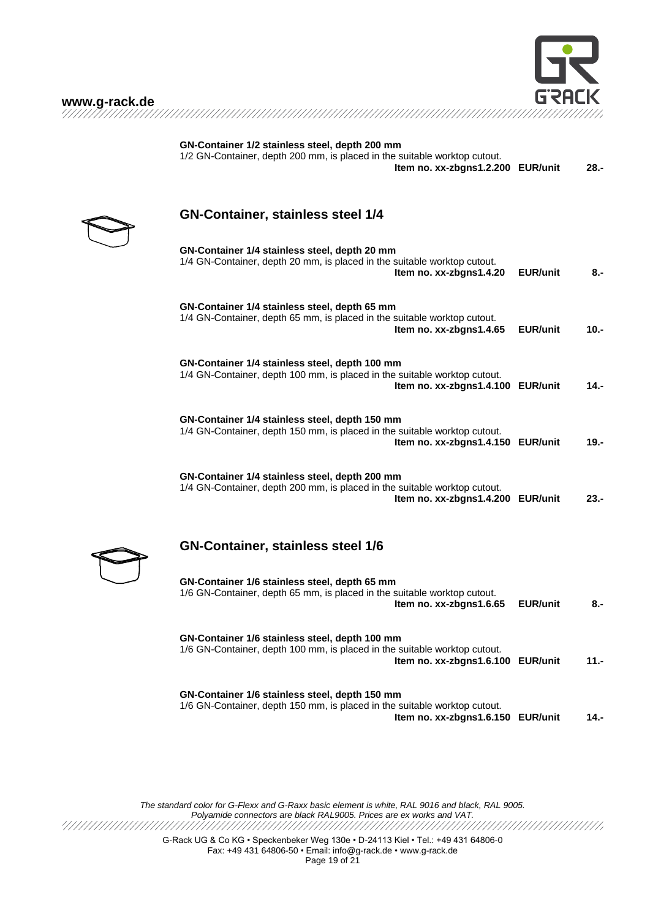

### **GN-Container 1/2 stainless steel, depth 200 mm**

1/2 GN-Container, depth 200 mm, is placed in the suitable worktop cutout. **Item no. xx-zbgns1.2.200 EUR/unit 28.-**

### **GN-Container, stainless steel 1/4**

| GN-Container 1/4 stainless steel, depth 20 mm<br>1/4 GN-Container, depth 20 mm, is placed in the suitable worktop cutout.<br>Item no. xx-zbgns1.4.20             | <b>EUR/unit</b> | 8.-    |
|------------------------------------------------------------------------------------------------------------------------------------------------------------------|-----------------|--------|
| GN-Container 1/4 stainless steel, depth 65 mm<br>1/4 GN-Container, depth 65 mm, is placed in the suitable worktop cutout.<br>Item no. xx-zbgns1.4.65             | <b>EUR/unit</b> | 10.-   |
| GN-Container 1/4 stainless steel, depth 100 mm<br>1/4 GN-Container, depth 100 mm, is placed in the suitable worktop cutout.<br>Item no. xx-zbgns1.4.100 EUR/unit |                 | 14.-   |
| GN-Container 1/4 stainless steel, depth 150 mm<br>1/4 GN-Container, depth 150 mm, is placed in the suitable worktop cutout.<br>Item no. xx-zbgns1.4.150 EUR/unit |                 | 19.-   |
| GN-Container 1/4 stainless steel, depth 200 mm<br>1/4 GN-Container, depth 200 mm, is placed in the suitable worktop cutout.<br>Item no. xx-zbgns1.4.200          | <b>EUR/unit</b> | $23 -$ |

### **GN-Container, stainless steel 1/6**

| GN-Container 1/6 stainless steel, depth 65 mm                            |                 |     |
|--------------------------------------------------------------------------|-----------------|-----|
| 1/6 GN-Container, depth 65 mm, is placed in the suitable worktop cutout. |                 |     |
| Item no. xx-zbgns1.6.65                                                  | <b>EUR/unit</b> | 8.- |
|                                                                          |                 |     |

**GN-Container 1/6 stainless steel, depth 100 mm** 1/6 GN-Container, depth 100 mm, is placed in the suitable worktop cutout. **Item no. xx-zbgns1.6.100 EUR/unit 11.-**

**GN-Container 1/6 stainless steel, depth 150 mm** 1/6 GN-Container, depth 150 mm, is placed in the suitable worktop cutout. **Item no. xx-zbgns1.6.150 EUR/unit 14.-**

*The standard color for G-Flexx and G-Raxx basic element is white, RAL 9016 and black, RAL 9005. Polyamide connectors are black RAL9005. Prices are ex works and VAT.*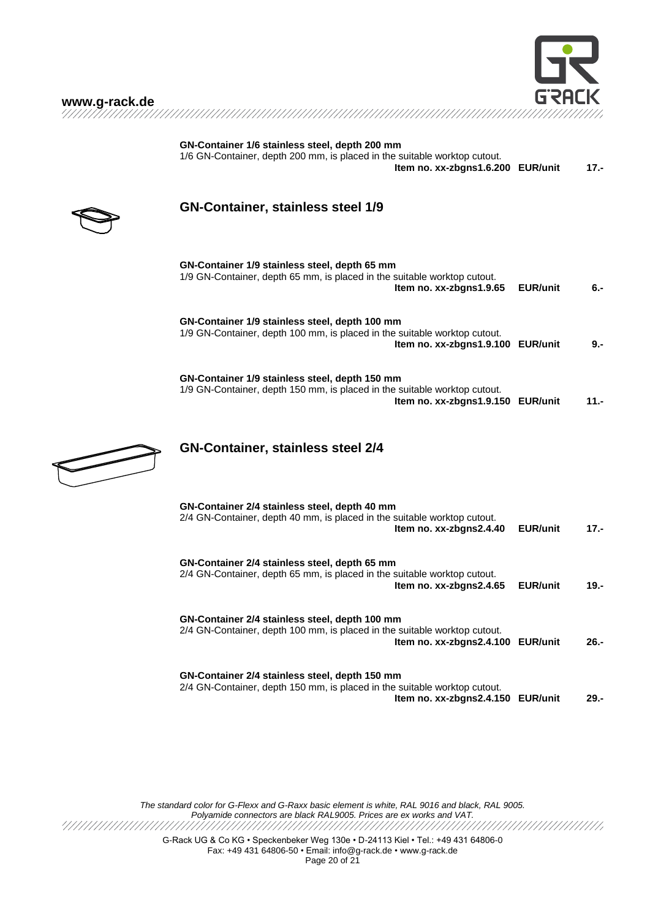

| GN-Container 1/6 stainless steel, depth 200 mm<br>1/6 GN-Container, depth 200 mm, is placed in the suitable worktop cutout.<br>Item no. xx-zbgns1.6.200 EUR/unit |                 | 17.-    |
|------------------------------------------------------------------------------------------------------------------------------------------------------------------|-----------------|---------|
| <b>GN-Container, stainless steel 1/9</b>                                                                                                                         |                 |         |
| GN-Container 1/9 stainless steel, depth 65 mm<br>1/9 GN-Container, depth 65 mm, is placed in the suitable worktop cutout.<br>Item no. xx-zbgns1.9.65             | <b>EUR/unit</b> | 6.-     |
| GN-Container 1/9 stainless steel, depth 100 mm<br>1/9 GN-Container, depth 100 mm, is placed in the suitable worktop cutout.<br>Item no. xx-zbgns1.9.100 EUR/unit |                 | 9.-     |
| GN-Container 1/9 stainless steel, depth 150 mm<br>1/9 GN-Container, depth 150 mm, is placed in the suitable worktop cutout.<br>Item no. xx-zbgns1.9.150 EUR/unit |                 | $11. -$ |
| <b>GN-Container, stainless steel 2/4</b>                                                                                                                         |                 |         |
| GN-Container 2/4 stainless steel, depth 40 mm<br>2/4 GN-Container, depth 40 mm, is placed in the suitable worktop cutout.<br>Item no. xx-zbgns2.4.40             | <b>EUR/unit</b> | $17. -$ |
| GN-Container 2/4 stainless steel, depth 65 mm<br>2/4 GN-Container, depth 65 mm, is placed in the suitable worktop cutout.<br>Item no. xx-zbgns2.4.65             | <b>EUR/unit</b> | 19.-    |
| GN-Container 2/4 stainless steel, depth 100 mm<br>2/4 GN-Container, depth 100 mm, is placed in the suitable worktop cutout.<br>Item no. xx-zbgns2.4.100 EUR/unit |                 | $26. -$ |
| GN-Container 2/4 stainless steel, depth 150 mm<br>2/4 GN-Container, depth 150 mm, is placed in the suitable worktop cutout.<br>Item no. xx-zbgns2.4.150 EUR/unit |                 | $29. -$ |

*The standard color for G-Flexx and G-Raxx basic element is white, RAL 9016 and black, RAL 9005. Polyamide connectors are black RAL9005. Prices are ex works and VAT.* ///// ///////////